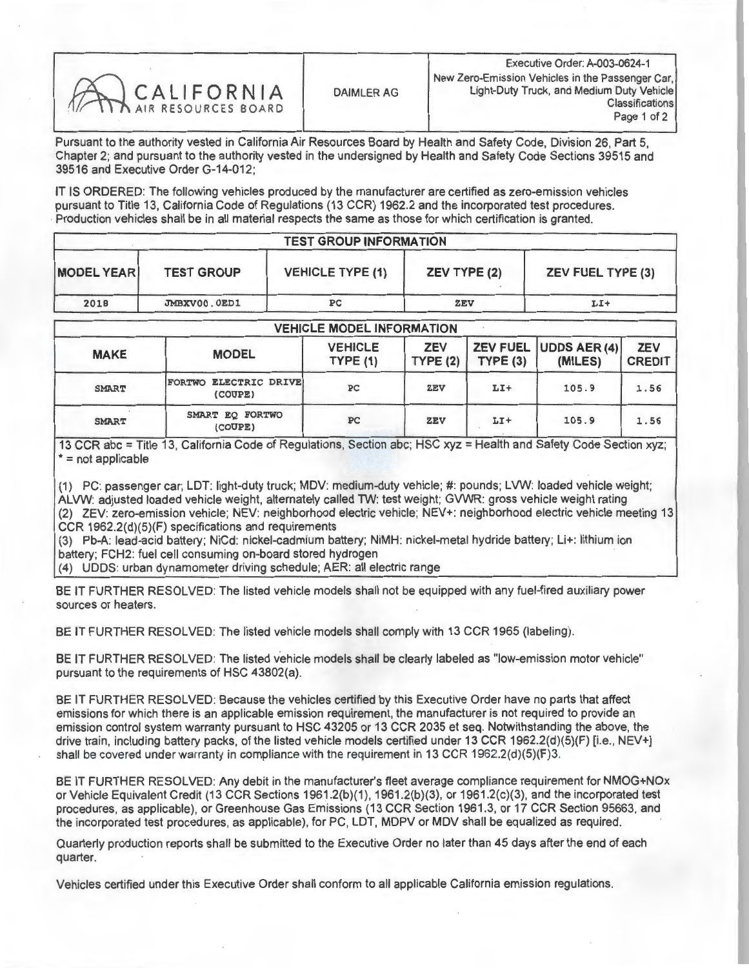| CALIFORNIA |
|------------|
|            |
|            |

Pursuant to the authority vested in California Air Resources Board by Health and Safety Code, Division 26, Part 5, Chapter 2; and pursuant to the authority vested in the undersigned by Health and Safety Code Sections 39515 and 39516 and Executive Order G-14-012;

IT IS ORDERED: The following vehicles produced by the manufacturer are certified as zero-emission vehicles pursuant to Title 13, California Code of Regulations (13 CCR) 1962.2 and the incorporated test procedures. Production vehicles shall be in all material respects the same as those for which certification is granted.

| <b>TEST GROUP INFORMATION</b> |                   |                         |                     |                          |  |  |
|-------------------------------|-------------------|-------------------------|---------------------|--------------------------|--|--|
| <b>MODEL YEAR</b>             | <b>TEST GROUP</b> | <b>VEHICLE TYPE (1)</b> | <b>ZEV TYPE (2)</b> | <b>ZEV FUEL TYPE (3)</b> |  |  |
| 2018                          | JMBXV00.0ED1      | PC                      | <b>ZEV</b>          | LI+                      |  |  |

|              | <b>VEHICLE MODEL INFORMATION</b> |                           |                       |         |                                  |                             |  |  |  |  |
|--------------|----------------------------------|---------------------------|-----------------------|---------|----------------------------------|-----------------------------|--|--|--|--|
| <b>MAKE</b>  | <b>MODEL</b>                     | <b>VEHICLE</b><br>TYPE(1) | <b>ZEV</b><br>TYPE(2) | TYPE(3) | ZEV FUEL UDDS AER (4)<br>(MILES) | <b>ZEV</b><br><b>CREDIT</b> |  |  |  |  |
| <b>SMART</b> | FORTWO ELECTRIC DRIVE<br>(COUPE) | PC                        | <b>ZEV</b>            | $LI+$   | 105.9                            | 1.56                        |  |  |  |  |
| <b>SMART</b> | SMART EQ FORTWO<br>(COUPE)       | PC                        | ZEV                   | $LI+$   | 105.9                            | 1.56                        |  |  |  |  |

13 CCR abc = Title 13, California Code of Regulations, Section abc; HSC xyz = Health and Safety Code Section xyz; \*= not applicable

(1) PC: passenger car; LDT: light-duty truck; MDV: medium-duty vehicle; #: pounds; LVW: loaded vehicle weight; ALVW: adjusted loaded vehicle weight, alternately called TW: test weight; GVWR: gross vehicle weight rating (2) ZEV: zero-emission vehicle; NEV: neighborhood electric vehicle; NEV+: neighborhood electric vehicle meeting 13 CCR 1962.2(d)(5)(F) specifications and requirements

(3) Pb-A: lead-acid battery; NiCd: nickel-cadmium battery; NiMH: nickel-metal hydride battery; Li+: lithium ion battery; FCH2: fuel cell consuming on-board stored hydrogen

(4) UDDS: urban dynamometer driving schedule; AER: all electric range

BE IT FURTHER RESOLVED: The listed vehicle models shall not be equipped with any fuel-fired auxiliary power sources or heaters.

BE IT FURTHER RESOLVED: The listed vehicle models shall comply with 13 CCR 1965 (labeling).

BE IT FURTHER RESOLVED: The listed vehicle models shall be clearly labeled as "low-emission motor vehicle" pursuant to the requirements of HSC 43802(a).

BE IT FURTHER RESOLVED: Because the vehicles certified by this Executive Order have no parts that affect emissions for which there is an applicable emission requirement, the manufacturer is not required to provide an emission control system warranty pursuant to HSC 43205 or 13 CCR 2035 et seq. Notwithstanding the above, the drive train, including battery packs, of the listed vehicle models certified under 13 CCR 1962.2(d)(5)(F) [i.e., NEV+] shall be covered under warranty in compliance with the requirement in 13 CCR 1962.2(d)(5)(F)3.

BE IT FURTHER RESOLVED: Any debit in the manufacturer's fleet average compliance requirement for NMOG+NOx or Vehicle Equivalent Credit (13 CCR Sections 1961.2(b)(1), 1961.2(b)(3), or 1961.2(c)(3), and the incorporated test or vehicle Equivalent Credit (13 CCR Sections 1961.2(b)(1), 1961.2(b)(3), or 1961.2(c)(3), and the incorporated test procedures, as applicable), or Greenhouse Gas Emissions (13 CCR Section 1961.3, or 17 CCR Section 95663, and the incorporated test procedures, as applicable), for PC, LDT, MDPV or MDV shall be equalized as required.

Quarterly production reports shall be submitted to the Executive Order no later than 45 days after the end of each quarter.

Vehicles certified under this Executive Order shall conform to all applicable California emission regulations.